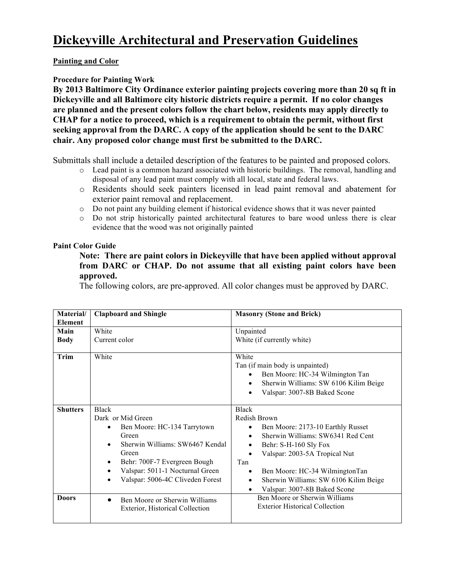## **Painting and Color**

## **Procedure for Painting Work**

**By 2013 Baltimore City Ordinance exterior painting projects covering more than 20 sq ft in Dickeyville and all Baltimore city historic districts require a permit. If no color changes are planned and the present colors follow the chart below, residents may apply directly to CHAP for a notice to proceed, which is a requirement to obtain the permit, without first seeking approval from the DARC. A copy of the application should be sent to the DARC chair. Any proposed color change must first be submitted to the DARC.**

Submittals shall include a detailed description of the features to be painted and proposed colors.

- o Lead paint is a common hazard associated with historic buildings. The removal, handling and disposal of any lead paint must comply with all local, state and federal laws.
- o Residents should seek painters licensed in lead paint removal and abatement for exterior paint removal and replacement.
- o Do not paint any building element if historical evidence shows that it was never painted
- o Do not strip historically painted architectural features to bare wood unless there is clear evidence that the wood was not originally painted

## **Paint Color Guide**

**Note: There are paint colors in Dickeyville that have been applied without approval from DARC or CHAP. Do not assume that all existing paint colors have been approved.** 

The following colors, are pre-approved. All color changes must be approved by DARC.

| Material/<br><b>Element</b>     | <b>Clapboard and Shingle</b>                                                                                                                                                                                                                             | <b>Masonry (Stone and Brick)</b>                                                                                                                                                                                                                                                                                                                                        |
|---------------------------------|----------------------------------------------------------------------------------------------------------------------------------------------------------------------------------------------------------------------------------------------------------|-------------------------------------------------------------------------------------------------------------------------------------------------------------------------------------------------------------------------------------------------------------------------------------------------------------------------------------------------------------------------|
| Main<br><b>Body</b>             | White<br>Current color                                                                                                                                                                                                                                   | Unpainted<br>White (if currently white)                                                                                                                                                                                                                                                                                                                                 |
| <b>Trim</b>                     | White                                                                                                                                                                                                                                                    | White<br>Tan (if main body is unpainted)<br>Ben Moore: HC-34 Wilmington Tan<br>$\bullet$<br>Sherwin Williams: SW 6106 Kilim Beige<br>$\bullet$<br>Valspar: 3007-8B Baked Scone<br>$\bullet$                                                                                                                                                                             |
| <b>Shutters</b><br><b>Doors</b> | <b>Black</b><br>Dark or Mid Green<br>Ben Moore: HC-134 Tarrytown<br>$\bullet$<br>Green<br>Sherwin Williams: SW6467 Kendal<br>٠<br>Green<br>Behr: 700F-7 Evergreen Bough<br>٠<br>Valspar: 5011-1 Nocturnal Green<br>Valspar: 5006-4C Cliveden Forest<br>٠ | <b>Black</b><br>Redish Brown<br>Ben Moore: 2173-10 Earthly Russet<br>$\bullet$<br>Sherwin Williams: SW6341 Red Cent<br>Behr: S-H-160 Sly Fox<br>Valspar: 2003-5A Tropical Nut<br>Tan<br>Ben Moore: HC-34 WilmingtonTan<br>$\bullet$<br>Sherwin Williams: SW 6106 Kilim Beige<br>$\bullet$<br>Valspar: 3007-8B Baked Scone<br>$\bullet$<br>Ben Moore or Sherwin Williams |
|                                 | Ben Moore or Sherwin Williams<br>$\bullet$<br>Exterior, Historical Collection                                                                                                                                                                            | <b>Exterior Historical Collection</b>                                                                                                                                                                                                                                                                                                                                   |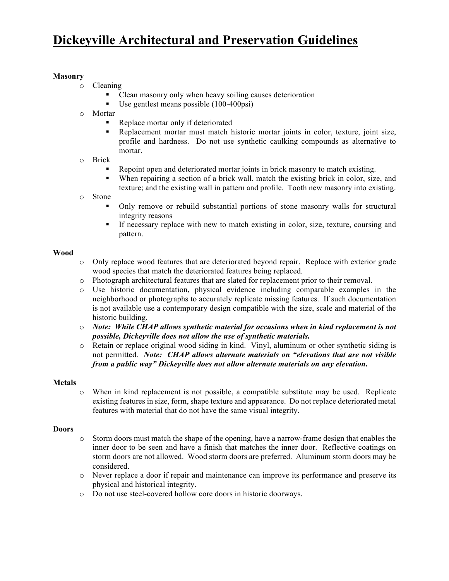# **Dickeyville Architectural and Preservation Guidelines**

### **Masonry**

- o Cleaning
	- Clean masonry only when heavy soiling causes deterioration
	- Use gentlest means possible (100-400psi)
- o Mortar
	- Replace mortar only if deteriorated
	- Replacement mortar must match historic mortar joints in color, texture, joint size, profile and hardness. Do not use synthetic caulking compounds as alternative to mortar.
- o Brick
	- Repoint open and deteriorated mortar joints in brick masonry to match existing.
	- When repairing a section of a brick wall, match the existing brick in color, size, and texture; and the existing wall in pattern and profile. Tooth new masonry into existing.
- o Stone
	- Only remove or rebuild substantial portions of stone masonry walls for structural integrity reasons
	- § If necessary replace with new to match existing in color, size, texture, coursing and pattern.

### **Wood**

- o Only replace wood features that are deteriorated beyond repair. Replace with exterior grade wood species that match the deteriorated features being replaced.
- o Photograph architectural features that are slated for replacement prior to their removal.
- o Use historic documentation, physical evidence including comparable examples in the neighborhood or photographs to accurately replicate missing features. If such documentation is not available use a contemporary design compatible with the size, scale and material of the historic building.
- o *Note: While CHAP allows synthetic material for occasions when in kind replacement is not possible, Dickeyville does not allow the use of synthetic materials.*
- o Retain or replace original wood siding in kind. Vinyl, aluminum or other synthetic siding is not permitted. *Note: CHAP allows alternate materials on "elevations that are not visible from a public way" Dickeyville does not allow alternate materials on any elevation.*

### **Metals**

o When in kind replacement is not possible, a compatible substitute may be used. Replicate existing features in size, form, shape texture and appearance. Do not replace deteriorated metal features with material that do not have the same visual integrity.

### **Doors**

- o Storm doors must match the shape of the opening, have a narrow-frame design that enables the inner door to be seen and have a finish that matches the inner door. Reflective coatings on storm doors are not allowed. Wood storm doors are preferred. Aluminum storm doors may be considered.
- o Never replace a door if repair and maintenance can improve its performance and preserve its physical and historical integrity.
- o Do not use steel-covered hollow core doors in historic doorways.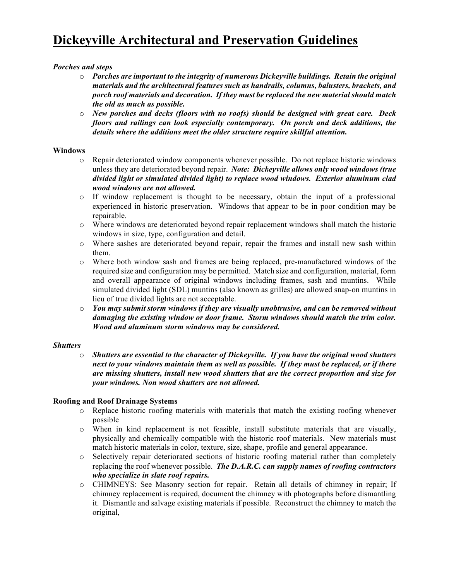## *Porches and steps*

- o *Porches are important to the integrity of numerous Dickeyville buildings. Retain the original materials and the architectural features such as handrails, columns, balusters, brackets, and porch roof materials and decoration. If they must be replaced the new material should match the old as much as possible.*
- o *New porches and decks (floors with no roofs) should be designed with great care. Deck floors and railings can look especially contemporary. On porch and deck additions, the details where the additions meet the older structure require skillful attention.*

### **Windows**

- o Repair deteriorated window components whenever possible. Do not replace historic windows unless they are deteriorated beyond repair. *Note: Dickeyville allows only wood windows (true divided light or simulated divided light) to replace wood windows. Exterior aluminum clad wood windows are not allowed.*
- o If window replacement is thought to be necessary, obtain the input of a professional experienced in historic preservation. Windows that appear to be in poor condition may be repairable.
- o Where windows are deteriorated beyond repair replacement windows shall match the historic windows in size, type, configuration and detail.
- o Where sashes are deteriorated beyond repair, repair the frames and install new sash within them.
- o Where both window sash and frames are being replaced, pre-manufactured windows of the required size and configuration may be permitted. Match size and configuration, material, form and overall appearance of original windows including frames, sash and muntins. While simulated divided light (SDL) muntins (also known as grilles) are allowed snap-on muntins in lieu of true divided lights are not acceptable.
- o *You may submit storm windows if they are visually unobtrusive, and can be removed without damaging the existing window or door frame. Storm windows should match the trim color. Wood and aluminum storm windows may be considered.*

### *Shutters*

o *Shutters are essential to the character of Dickeyville. If you have the original wood shutters next to your windows maintain them as well as possible. If they must be replaced, or if there are missing shutters, install new wood shutters that are the correct proportion and size for your windows. Non wood shutters are not allowed.* 

### **Roofing and Roof Drainage Systems**

- o Replace historic roofing materials with materials that match the existing roofing whenever possible
- o When in kind replacement is not feasible, install substitute materials that are visually, physically and chemically compatible with the historic roof materials. New materials must match historic materials in color, texture, size, shape, profile and general appearance.
- o Selectively repair deteriorated sections of historic roofing material rather than completely replacing the roof whenever possible. *The D.A.R.C. can supply names of roofing contractors who specialize in slate roof repairs.*
- o CHIMNEYS: See Masonry section for repair. Retain all details of chimney in repair; If chimney replacement is required, document the chimney with photographs before dismantling it. Dismantle and salvage existing materials if possible. Reconstruct the chimney to match the original,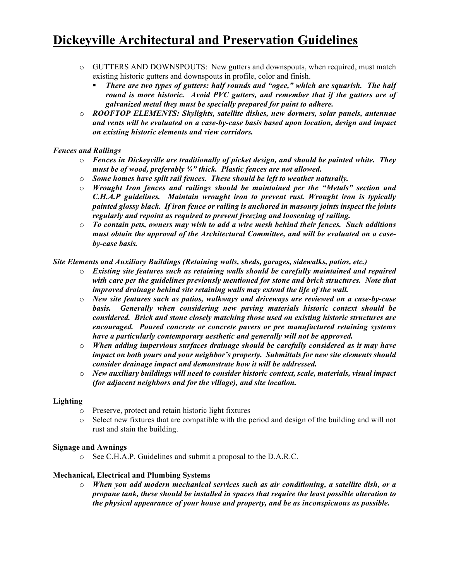# **Dickeyville Architectural and Preservation Guidelines**

- o GUTTERS AND DOWNSPOUTS: New gutters and downspouts, when required, must match existing historic gutters and downspouts in profile, color and finish.
	- § *There are two types of gutters: half rounds and "ogee," which are squarish. The half round is more historic. Avoid PVC gutters, and remember that if the gutters are of galvanized metal they must be specially prepared for paint to adhere.*
- o *ROOFTOP ELEMENTS: Skylights, satellite dishes, new dormers, solar panels, antennae and vents will be evaluated on a case-by-case basis based upon location, design and impact on existing historic elements and view corridors.*

### *Fences and Railings*

- o *Fences in Dickeyville are traditionally of picket design, and should be painted white. They must be of wood, preferably ¾" thick. Plastic fences are not allowed.*
- o *Some homes have split rail fences. These should be left to weather naturally.*
- o *Wrought Iron fences and railings should be maintained per the "Metals" section and C.H.A.P guidelines. Maintain wrought iron to prevent rust. Wrought iron is typically painted glossy black. If iron fence or railing is anchored in masonry joints inspect the joints regularly and repoint as required to prevent freezing and loosening of railing.*
- o *To contain pets, owners may wish to add a wire mesh behind their fences. Such additions must obtain the approval of the Architectural Committee, and will be evaluated on a caseby-case basis.*

## *Site Elements and Auxiliary Buildings (Retaining walls, sheds, garages, sidewalks, patios, etc.)*

- o *Existing site features such as retaining walls should be carefully maintained and repaired with care per the guidelines previously mentioned for stone and brick structures. Note that improved drainage behind site retaining walls may extend the life of the wall.*
- o *New site features such as patios, walkways and driveways are reviewed on a case-by-case basis. Generally when considering new paving materials historic context should be considered. Brick and stone closely matching those used on existing historic structures are encouraged. Poured concrete or concrete pavers or pre manufactured retaining systems have a particularly contemporary aesthetic and generally will not be approved.*
- o *When adding impervious surfaces drainage should be carefully considered as it may have impact on both yours and your neighbor's property. Submittals for new site elements should consider drainage impact and demonstrate how it will be addressed.*
- o *New auxiliary buildings will need to consider historic context, scale, materials, visual impact (for adjacent neighbors and for the village), and site location.*

### **Lighting**

- o Preserve, protect and retain historic light fixtures
- o Select new fixtures that are compatible with the period and design of the building and will not rust and stain the building.

### **Signage and Awnings**

o See C.H.A.P. Guidelines and submit a proposal to the D.A.R.C.

### **Mechanical, Electrical and Plumbing Systems**

o *When you add modern mechanical services such as air conditioning, a satellite dish, or a propane tank, these should be installed in spaces that require the least possible alteration to the physical appearance of your house and property, and be as inconspicuous as possible.*